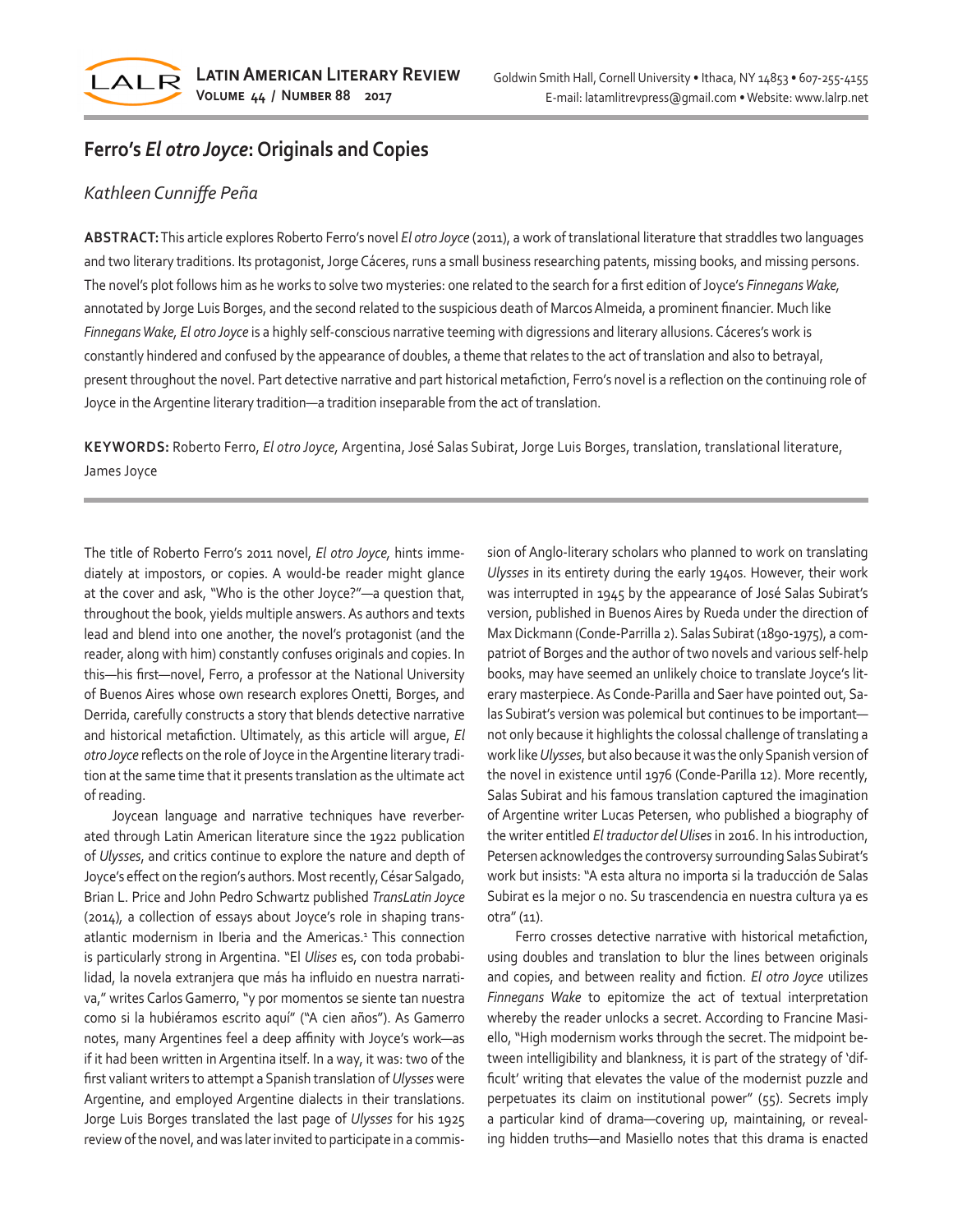

## **Ferro's** *El otro Joyce***: Originals and Copies**

## *Kathleen Cunniffe Peña*

**ABSTRACT:** This article explores Roberto Ferro's novel *El otro Joyce* (2011), a work of translational literature that straddles two languages and two literary traditions. Its protagonist, Jorge Cáceres, runs a small business researching patents, missing books, and missing persons. The novel's plot follows him as he works to solve two mysteries: one related to the search for a first edition of Joyce's *Finnegans Wake,*  annotated by Jorge Luis Borges, and the second related to the suspicious death of Marcos Almeida, a prominent financier. Much like *Finnegans Wake, El otro Joyce* is a highly self-conscious narrative teeming with digressions and literary allusions. Cáceres's work is constantly hindered and confused by the appearance of doubles, a theme that relates to the act of translation and also to betrayal, present throughout the novel. Part detective narrative and part historical metafiction, Ferro's novel is a reflection on the continuing role of Joyce in the Argentine literary tradition—a tradition inseparable from the act of translation.

**KEYWORDS:** Roberto Ferro, *El otro Joyce,* Argentina, José Salas Subirat, Jorge Luis Borges, translation, translational literature, James Joyce

The title of Roberto Ferro's 2011 novel, *El otro Joyce,* hints immediately at impostors, or copies. A would-be reader might glance at the cover and ask, "Who is the other Joyce?"—a question that, throughout the book, yields multiple answers. As authors and texts lead and blend into one another, the novel's protagonist (and the reader, along with him) constantly confuses originals and copies. In this—his first—novel, Ferro, a professor at the National University of Buenos Aires whose own research explores Onetti, Borges, and Derrida, carefully constructs a story that blends detective narrative and historical metafiction. Ultimately, as this article will argue, *El otro Joyce* reflects on the role of Joyce in the Argentine literary tradition at the same time that it presents translation as the ultimate act of reading.

Joycean language and narrative techniques have reverberated through Latin American literature since the 1922 publication of *Ulysses*, and critics continue to explore the nature and depth of Joyce's effect on the region's authors. Most recently, César Salgado, Brian L. Price and John Pedro Schwartz published *TransLatin Joyce*  (2014)*,* a collection of essays about Joyce's role in shaping transatlantic modernism in Iberia and the Americas.<sup>1</sup> This connection is particularly strong in Argentina. "El *Ulises* es, con toda probabilidad, la novela extranjera que más ha influido en nuestra narrativa," writes Carlos Gamerro, "y por momentos se siente tan nuestra como si la hubiéramos escrito aquí" ("A cien años"). As Gamerro notes, many Argentines feel a deep affinity with Joyce's work—as if it had been written in Argentina itself. In a way, it was: two of the first valiant writers to attempt a Spanish translation of *Ulysses* were Argentine, and employed Argentine dialects in their translations. Jorge Luis Borges translated the last page of *Ulysses* for his 1925 review of the novel, and was later invited to participate in a commission of Anglo-literary scholars who planned to work on translating *Ulysses* in its entirety during the early 1940s. However, their work was interrupted in 1945 by the appearance of José Salas Subirat's version, published in Buenos Aires by Rueda under the direction of Max Dickmann (Conde-Parrilla 2). Salas Subirat (1890-1975), a compatriot of Borges and the author of two novels and various self-help books, may have seemed an unlikely choice to translate Joyce's literary masterpiece. As Conde-Parilla and Saer have pointed out, Salas Subirat's version was polemical but continues to be important not only because it highlights the colossal challenge of translating a work like *Ulysses*, but also because it was the only Spanish version of the novel in existence until 1976 (Conde-Parilla 12). More recently, Salas Subirat and his famous translation captured the imagination of Argentine writer Lucas Petersen, who published a biography of the writer entitled *El traductor del Ulises* in 2016. In his introduction, Petersen acknowledges the controversy surrounding Salas Subirat's work but insists: "A esta altura no importa si la traducción de Salas Subirat es la mejor o no. Su trascendencia en nuestra cultura ya es otra" (11).

Ferro crosses detective narrative with historical metafiction, using doubles and translation to blur the lines between originals and copies, and between reality and fiction. *El otro Joyce* utilizes *Finnegans Wake* to epitomize the act of textual interpretation whereby the reader unlocks a secret. According to Francine Masiello, "High modernism works through the secret. The midpoint between intelligibility and blankness, it is part of the strategy of 'difficult' writing that elevates the value of the modernist puzzle and perpetuates its claim on institutional power" (55). Secrets imply a particular kind of drama—covering up, maintaining, or revealing hidden truths—and Masiello notes that this drama is enacted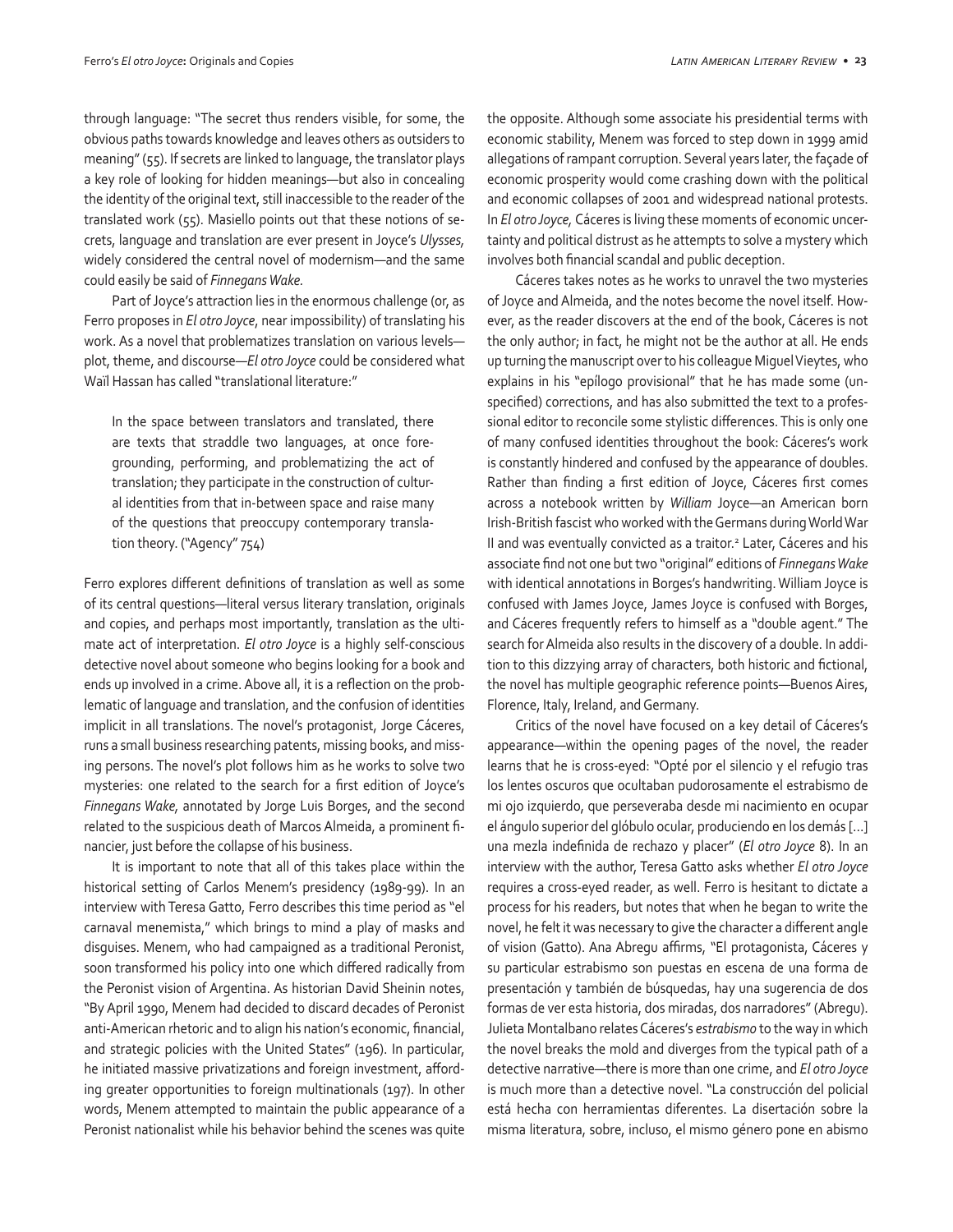through language: "The secret thus renders visible, for some, the obvious paths towards knowledge and leaves others as outsiders to meaning" (55). If secrets are linked to language, the translator plays a key role of looking for hidden meanings—but also in concealing the identity of the original text, still inaccessible to the reader of the translated work (55). Masiello points out that these notions of secrets, language and translation are ever present in Joyce's *Ulysses,* widely considered the central novel of modernism—and the same could easily be said of *Finnegans Wake.*

Part of Joyce's attraction lies in the enormous challenge (or, as Ferro proposes in *El otro Joyce*, near impossibility) of translating his work. As a novel that problematizes translation on various levels plot, theme, and discourse—*El otro Joyce* could be considered what Waïl Hassan has called "translational literature:"

In the space between translators and translated, there are texts that straddle two languages, at once foregrounding, performing, and problematizing the act of translation; they participate in the construction of cultural identities from that in-between space and raise many of the questions that preoccupy contemporary translation theory. ("Agency" 754)

Ferro explores different definitions of translation as well as some of its central questions—literal versus literary translation, originals and copies, and perhaps most importantly, translation as the ultimate act of interpretation. *El otro Joyce* is a highly self-conscious detective novel about someone who begins looking for a book and ends up involved in a crime. Above all, it is a reflection on the problematic of language and translation, and the confusion of identities implicit in all translations. The novel's protagonist, Jorge Cáceres, runs a small business researching patents, missing books, and missing persons. The novel's plot follows him as he works to solve two mysteries: one related to the search for a first edition of Joyce's *Finnegans Wake,* annotated by Jorge Luis Borges, and the second related to the suspicious death of Marcos Almeida, a prominent financier, just before the collapse of his business.

It is important to note that all of this takes place within the historical setting of Carlos Menem's presidency (1989-99). In an interview with Teresa Gatto, Ferro describes this time period as "el carnaval menemista," which brings to mind a play of masks and disguises. Menem, who had campaigned as a traditional Peronist, soon transformed his policy into one which differed radically from the Peronist vision of Argentina. As historian David Sheinin notes, "By April 1990, Menem had decided to discard decades of Peronist anti-American rhetoric and to align his nation's economic, financial, and strategic policies with the United States" (196). In particular, he initiated massive privatizations and foreign investment, affording greater opportunities to foreign multinationals (197). In other words, Menem attempted to maintain the public appearance of a Peronist nationalist while his behavior behind the scenes was quite the opposite. Although some associate his presidential terms with economic stability, Menem was forced to step down in 1999 amid allegations of rampant corruption. Several years later, the façade of economic prosperity would come crashing down with the political and economic collapses of 2001 and widespread national protests. In *El otro Joyce,* Cáceres is living these moments of economic uncertainty and political distrust as he attempts to solve a mystery which involves both financial scandal and public deception.

Cáceres takes notes as he works to unravel the two mysteries of Joyce and Almeida, and the notes become the novel itself. However, as the reader discovers at the end of the book, Cáceres is not the only author; in fact, he might not be the author at all. He ends up turning the manuscript over to his colleague Miguel Vieytes, who explains in his "epílogo provisional" that he has made some (unspecified) corrections, and has also submitted the text to a professional editor to reconcile some stylistic differences. This is only one of many confused identities throughout the book: Cáceres's work is constantly hindered and confused by the appearance of doubles. Rather than finding a first edition of Joyce, Cáceres first comes across a notebook written by *William* Joyce—an American born Irish-British fascist who worked with the Germans during World War II and was eventually convicted as a traitor.<sup>2</sup> Later, Cáceres and his associate find not one but two "original" editions of *Finnegans Wake* with identical annotations in Borges's handwriting. William Joyce is confused with James Joyce, James Joyce is confused with Borges, and Cáceres frequently refers to himself as a "double agent." The search for Almeida also results in the discovery of a double. In addition to this dizzying array of characters, both historic and fictional, the novel has multiple geographic reference points—Buenos Aires, Florence, Italy, Ireland, and Germany.

Critics of the novel have focused on a key detail of Cáceres's appearance—within the opening pages of the novel, the reader learns that he is cross-eyed: "Opté por el silencio y el refugio tras los lentes oscuros que ocultaban pudorosamente el estrabismo de mi ojo izquierdo, que perseveraba desde mi nacimiento en ocupar el ángulo superior del glóbulo ocular, produciendo en los demás […] una mezla indefinida de rechazo y placer" (*El otro Joyce* 8). In an interview with the author, Teresa Gatto asks whether *El otro Joyce*  requires a cross-eyed reader, as well. Ferro is hesitant to dictate a process for his readers, but notes that when he began to write the novel, he felt it was necessary to give the character a different angle of vision (Gatto). Ana Abregu affirms, "El protagonista, Cáceres y su particular estrabismo son puestas en escena de una forma de presentación y también de búsquedas, hay una sugerencia de dos formas de ver esta historia, dos miradas, dos narradores" (Abregu). Julieta Montalbano relates Cáceres's *estrabismo* to the way in which the novel breaks the mold and diverges from the typical path of a detective narrative—there is more than one crime, and *El otro Joyce*  is much more than a detective novel. "La construcción del policial está hecha con herramientas diferentes. La disertación sobre la misma literatura, sobre, incluso, el mismo género pone en abismo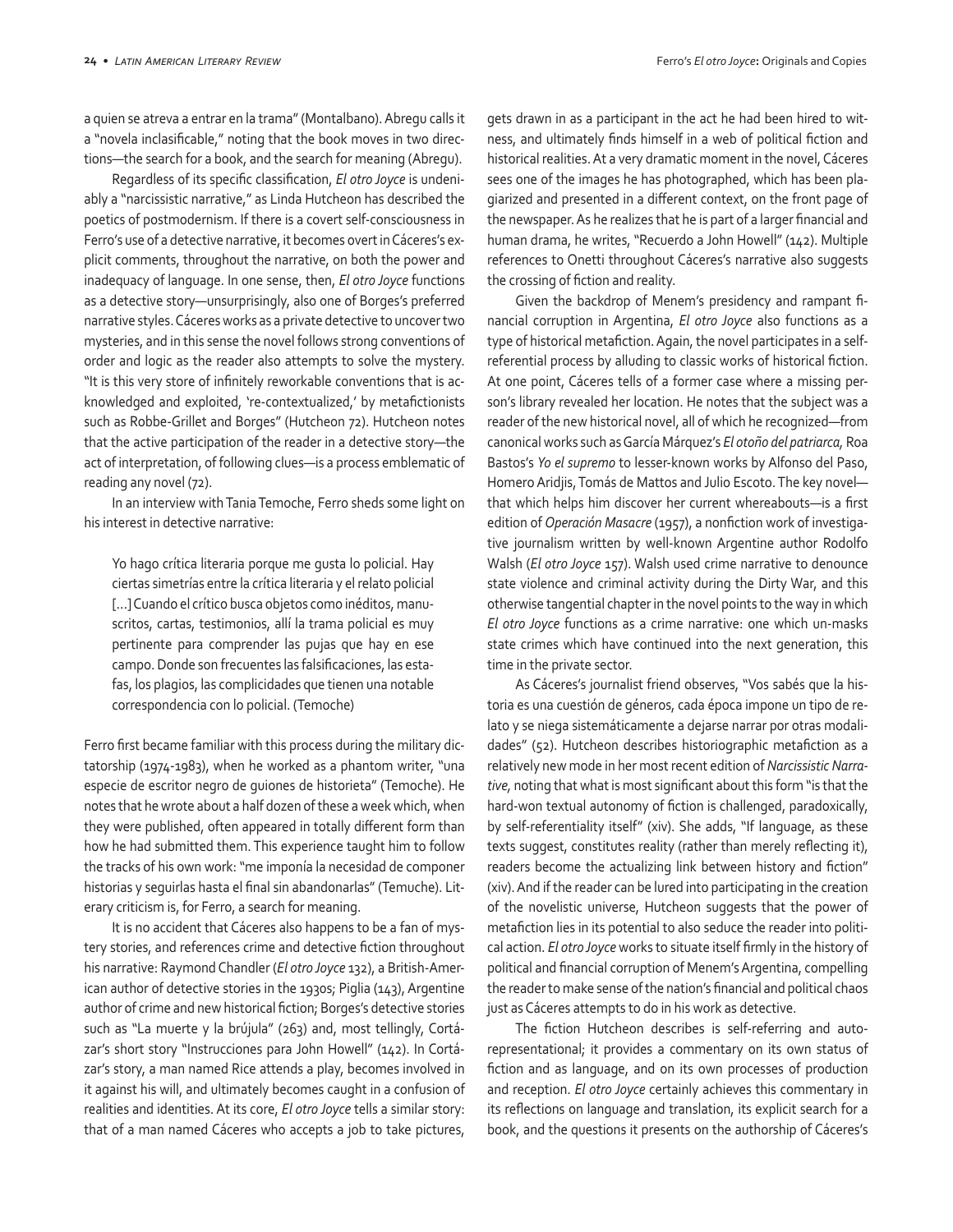a quien se atreva a entrar en la trama" (Montalbano). Abregu calls it a "novela inclasificable," noting that the book moves in two directions—the search for a book, and the search for meaning (Abregu).

Regardless of its specific classification, *El otro Joyce* is undeniably a "narcissistic narrative," as Linda Hutcheon has described the poetics of postmodernism. If there is a covert self-consciousness in Ferro's use of a detective narrative, it becomes overt in Cáceres's explicit comments, throughout the narrative, on both the power and inadequacy of language. In one sense, then, *El otro Joyce* functions as a detective story—unsurprisingly, also one of Borges's preferred narrative styles. Cáceres works as a private detective to uncover two mysteries, and in this sense the novel follows strong conventions of order and logic as the reader also attempts to solve the mystery. "It is this very store of infinitely reworkable conventions that is acknowledged and exploited, 're-contextualized,' by metafictionists such as Robbe-Grillet and Borges" (Hutcheon 72). Hutcheon notes that the active participation of the reader in a detective story—the act of interpretation, of following clues—is a process emblematic of reading any novel (72).

In an interview with Tania Temoche, Ferro sheds some light on his interest in detective narrative:

Yo hago crítica literaria porque me gusta lo policial. Hay ciertas simetrías entre la crítica literaria y el relato policial […] Cuando el crítico busca objetos como inéditos, manuscritos, cartas, testimonios, allí la trama policial es muy pertinente para comprender las pujas que hay en ese campo. Donde son frecuentes las falsificaciones, las estafas, los plagios, las complicidades que tienen una notable correspondencia con lo policial. (Temoche)

Ferro first became familiar with this process during the military dictatorship (1974-1983), when he worked as a phantom writer, "una especie de escritor negro de guiones de historieta" (Temoche). He notes that he wrote about a half dozen of these a week which, when they were published, often appeared in totally different form than how he had submitted them. This experience taught him to follow the tracks of his own work: "me imponía la necesidad de componer historias y seguirlas hasta el final sin abandonarlas" (Temuche). Literary criticism is, for Ferro, a search for meaning.

It is no accident that Cáceres also happens to be a fan of mystery stories, and references crime and detective fiction throughout his narrative: Raymond Chandler (*El otro Joyce* 132), a British-American author of detective stories in the 1930s; Piglia (143), Argentine author of crime and new historical fiction; Borges's detective stories such as "La muerte y la brújula" (263) and, most tellingly, Cortázar's short story "Instrucciones para John Howell" (142). In Cortázar's story, a man named Rice attends a play, becomes involved in it against his will, and ultimately becomes caught in a confusion of realities and identities. At its core, *El otro Joyce* tells a similar story: that of a man named Cáceres who accepts a job to take pictures,

gets drawn in as a participant in the act he had been hired to witness, and ultimately finds himself in a web of political fiction and historical realities. At a very dramatic moment in the novel, Cáceres sees one of the images he has photographed, which has been plagiarized and presented in a different context, on the front page of the newspaper. As he realizes that he is part of a larger financial and human drama, he writes, "Recuerdo a John Howell" (142). Multiple references to Onetti throughout Cáceres's narrative also suggests the crossing of fiction and reality.

Given the backdrop of Menem's presidency and rampant financial corruption in Argentina, *El otro Joyce* also functions as a type of historical metafiction. Again, the novel participates in a selfreferential process by alluding to classic works of historical fiction. At one point, Cáceres tells of a former case where a missing person's library revealed her location. He notes that the subject was a reader of the new historical novel, all of which he recognized—from canonical works such as García Márquez's *El otoño del patriarca,* Roa Bastos's *Yo el supremo* to lesser-known works by Alfonso del Paso, Homero Aridjis, Tomás de Mattos and Julio Escoto. The key novel that which helps him discover her current whereabouts—is a first edition of *Operación Masacre* (1957), a nonfiction work of investigative journalism written by well-known Argentine author Rodolfo Walsh (*El otro Joyce* 157). Walsh used crime narrative to denounce state violence and criminal activity during the Dirty War, and this otherwise tangential chapter in the novel points to the way in which *El otro Joyce* functions as a crime narrative: one which un-masks state crimes which have continued into the next generation, this time in the private sector.

As Cáceres's journalist friend observes, "Vos sabés que la historia es una cuestión de géneros, cada época impone un tipo de relato y se niega sistemáticamente a dejarse narrar por otras modalidades" (52). Hutcheon describes historiographic metafiction as a relatively new mode in her most recent edition of *Narcissistic Narrative,* noting that what is most significant about this form "is that the hard-won textual autonomy of fiction is challenged, paradoxically, by self-referentiality itself" (xiv). She adds, "If language, as these texts suggest, constitutes reality (rather than merely reflecting it), readers become the actualizing link between history and fiction" (xiv). And if the reader can be lured into participating in the creation of the novelistic universe, Hutcheon suggests that the power of metafiction lies in its potential to also seduce the reader into political action. *El otro Joyce* works to situate itself firmly in the history of political and financial corruption of Menem's Argentina, compelling the reader to make sense of the nation's financial and political chaos just as Cáceres attempts to do in his work as detective.

The fiction Hutcheon describes is self-referring and autorepresentational; it provides a commentary on its own status of fiction and as language, and on its own processes of production and reception. *El otro Joyce* certainly achieves this commentary in its reflections on language and translation, its explicit search for a book, and the questions it presents on the authorship of Cáceres's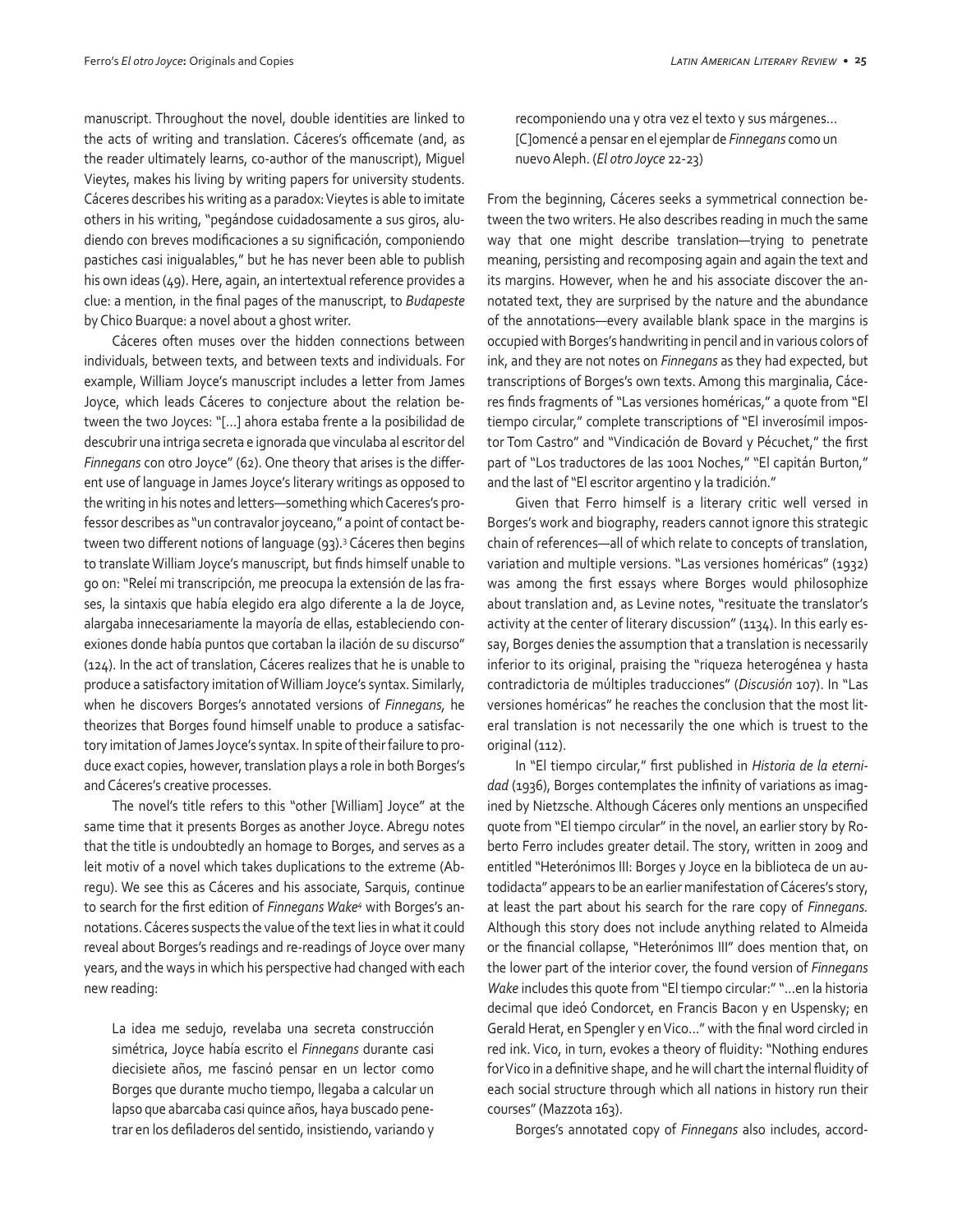manuscript. Throughout the novel, double identities are linked to the acts of writing and translation. Cáceres's officemate (and, as the reader ultimately learns, co-author of the manuscript), Miguel Vieytes, makes his living by writing papers for university students. Cáceres describes his writing as a paradox: Vieytes is able to imitate others in his writing, "pegándose cuidadosamente a sus giros, aludiendo con breves modificaciones a su significación, componiendo pastiches casi inigualables," but he has never been able to publish his own ideas (49). Here, again, an intertextual reference provides a clue: a mention, in the final pages of the manuscript, to *Budapeste*  by Chico Buarque: a novel about a ghost writer.

Cáceres often muses over the hidden connections between individuals, between texts, and between texts and individuals. For example, William Joyce's manuscript includes a letter from James Joyce, which leads Cáceres to conjecture about the relation between the two Joyces: "[…] ahora estaba frente a la posibilidad de descubrir una intriga secreta e ignorada que vinculaba al escritor del *Finnegans* con otro Joyce" (62). One theory that arises is the different use of language in James Joyce's literary writings as opposed to the writing in his notes and letters—something which Caceres's professor describes as "un contravalor joyceano," a point of contact between two different notions of language (93).<sup>3</sup> Cáceres then begins to translate William Joyce's manuscript, but finds himself unable to go on: "Releí mi transcripción, me preocupa la extensión de las frases, la sintaxis que había elegido era algo diferente a la de Joyce, alargaba innecesariamente la mayoría de ellas, estableciendo conexiones donde había puntos que cortaban la ilación de su discurso" (124). In the act of translation, Cáceres realizes that he is unable to produce a satisfactory imitation of William Joyce's syntax. Similarly, when he discovers Borges's annotated versions of *Finnegans,* he theorizes that Borges found himself unable to produce a satisfactory imitation of James Joyce's syntax. In spite of their failure to produce exact copies, however, translation plays a role in both Borges's and Cáceres's creative processes.

The novel's title refers to this "other [William] Joyce" at the same time that it presents Borges as another Joyce. Abregu notes that the title is undoubtedly an homage to Borges, and serves as a leit motiv of a novel which takes duplications to the extreme (Abregu). We see this as Cáceres and his associate, Sarquis, continue to search for the first edition of *Finnegans Wake4* with Borges's annotations. Cáceres suspects the value of the text lies in what it could reveal about Borges's readings and re-readings of Joyce over many years, and the ways in which his perspective had changed with each new reading:

La idea me sedujo, revelaba una secreta construcción simétrica, Joyce había escrito el *Finnegans* durante casi diecisiete años, me fascinó pensar en un lector como Borges que durante mucho tiempo, llegaba a calcular un lapso que abarcaba casi quince años, haya buscado penetrar en los defiladeros del sentido, insistiendo, variando y recomponiendo una y otra vez el texto y sus márgenes… [C]omencé a pensar en el ejemplar de *Finnegans* como un nuevo Aleph. (*El otro Joyce* 22-23)

From the beginning, Cáceres seeks a symmetrical connection between the two writers. He also describes reading in much the same way that one might describe translation—trying to penetrate meaning, persisting and recomposing again and again the text and its margins. However, when he and his associate discover the annotated text, they are surprised by the nature and the abundance of the annotations—every available blank space in the margins is occupied with Borges's handwriting in pencil and in various colors of ink, and they are not notes on *Finnegans* as they had expected, but transcriptions of Borges's own texts. Among this marginalia, Cáceres finds fragments of "Las versiones homéricas," a quote from "El tiempo circular," complete transcriptions of "El inverosímil impostor Tom Castro" and "Vindicación de Bovard y Pécuchet," the first part of "Los traductores de las 1001 Noches," "El capitán Burton," and the last of "El escritor argentino y la tradición."

Given that Ferro himself is a literary critic well versed in Borges's work and biography, readers cannot ignore this strategic chain of references—all of which relate to concepts of translation, variation and multiple versions. "Las versiones homéricas" (1932) was among the first essays where Borges would philosophize about translation and, as Levine notes, "resituate the translator's activity at the center of literary discussion" (1134). In this early essay, Borges denies the assumption that a translation is necessarily inferior to its original, praising the "riqueza heterogénea y hasta contradictoria de múltiples traducciones" (*Discusión* 107). In "Las versiones homéricas" he reaches the conclusion that the most literal translation is not necessarily the one which is truest to the original (112).

In "El tiempo circular," first published in *Historia de la eternidad* (1936), Borges contemplates the infinity of variations as imagined by Nietzsche. Although Cáceres only mentions an unspecified quote from "El tiempo circular" in the novel, an earlier story by Roberto Ferro includes greater detail. The story, written in 2009 and entitled "Heterónimos III: Borges y Joyce en la biblioteca de un autodidacta" appears to be an earlier manifestation of Cáceres's story, at least the part about his search for the rare copy of *Finnegans.*  Although this story does not include anything related to Almeida or the financial collapse, "Heterónimos III" does mention that, on the lower part of the interior cover, the found version of *Finnegans Wake* includes this quote from "El tiempo circular:" "...en la historia decimal que ideó Condorcet, en Francis Bacon y en Uspensky; en Gerald Herat, en Spengler y en Vico..." with the final word circled in red ink. Vico, in turn, evokes a theory of fluidity: "Nothing endures for Vico in a definitive shape, and he will chart the internal fluidity of each social structure through which all nations in history run their courses" (Mazzota 163).

Borges's annotated copy of *Finnegans* also includes, accord-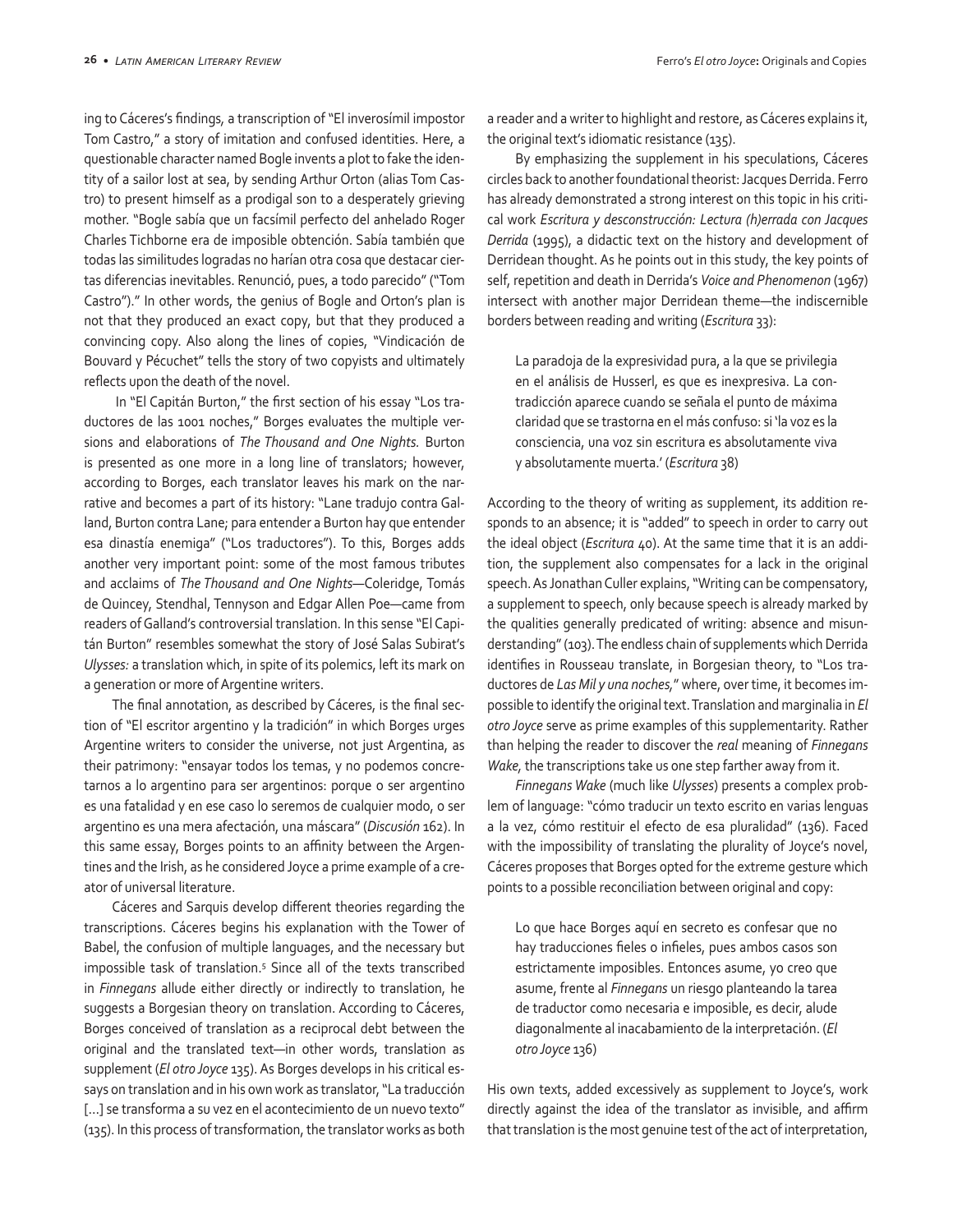ing to Cáceres's findings*,* a transcription of "El inverosímil impostor Tom Castro," a story of imitation and confused identities. Here, a questionable character named Bogle invents a plot to fake the identity of a sailor lost at sea, by sending Arthur Orton (alias Tom Castro) to present himself as a prodigal son to a desperately grieving mother. "Bogle sabía que un facsímil perfecto del anhelado Roger Charles Tichborne era de imposible obtención. Sabía también que todas las similitudes logradas no harían otra cosa que destacar ciertas diferencias inevitables. Renunció, pues, a todo parecido" ("Tom Castro")." In other words, the genius of Bogle and Orton's plan is not that they produced an exact copy, but that they produced a convincing copy. Also along the lines of copies, "Vindicación de Bouvard y Pécuchet" tells the story of two copyists and ultimately reflects upon the death of the novel.

 In "El Capitán Burton," the first section of his essay "Los traductores de las 1001 noches," Borges evaluates the multiple versions and elaborations of *The Thousand and One Nights.* Burton is presented as one more in a long line of translators; however, according to Borges, each translator leaves his mark on the narrative and becomes a part of its history: "Lane tradujo contra Galland, Burton contra Lane; para entender a Burton hay que entender esa dinastía enemiga" ("Los traductores"). To this, Borges adds another very important point: some of the most famous tributes and acclaims of *The Thousand and One Nights*—Coleridge, Tomás de Quincey, Stendhal, Tennyson and Edgar Allen Poe—came from readers of Galland's controversial translation. In this sense "El Capitán Burton" resembles somewhat the story of José Salas Subirat's *Ulysses:* a translation which, in spite of its polemics, left its mark on a generation or more of Argentine writers.

The final annotation, as described by Cáceres, is the final section of "El escritor argentino y la tradición" in which Borges urges Argentine writers to consider the universe, not just Argentina, as their patrimony: "ensayar todos los temas, y no podemos concretarnos a lo argentino para ser argentinos: porque o ser argentino es una fatalidad y en ese caso lo seremos de cualquier modo, o ser argentino es una mera afectación, una máscara" (*Discusión* 162). In this same essay, Borges points to an affinity between the Argentines and the Irish, as he considered Joyce a prime example of a creator of universal literature.

Cáceres and Sarquis develop different theories regarding the transcriptions. Cáceres begins his explanation with the Tower of Babel, the confusion of multiple languages, and the necessary but impossible task of translation.5 Since all of the texts transcribed in *Finnegans* allude either directly or indirectly to translation, he suggests a Borgesian theory on translation. According to Cáceres, Borges conceived of translation as a reciprocal debt between the original and the translated text—in other words, translation as supplement (*El otro Joyce* 135). As Borges develops in his critical essays on translation and in his own work as translator, "La traducción [...] se transforma a su vez en el acontecimiento de un nuevo texto" (135). In this process of transformation, the translator works as both a reader and a writer to highlight and restore, as Cáceres explains it, the original text's idiomatic resistance (135).

By emphasizing the supplement in his speculations, Cáceres circles back to another foundational theorist: Jacques Derrida. Ferro has already demonstrated a strong interest on this topic in his critical work *Escritura y desconstrucción: Lectura (h)errada con Jacques Derrida* (1995), a didactic text on the history and development of Derridean thought. As he points out in this study, the key points of self, repetition and death in Derrida's *Voice and Phenomenon* (1967) intersect with another major Derridean theme—the indiscernible borders between reading and writing (*Escritura* 33):

La paradoja de la expresividad pura, a la que se privilegia en el análisis de Husserl, es que es inexpresiva. La contradicción aparece cuando se señala el punto de máxima claridad que se trastorna en el más confuso: si 'la voz es la consciencia, una voz sin escritura es absolutamente viva y absolutamente muerta.' (*Escritura* 38)

According to the theory of writing as supplement, its addition responds to an absence; it is "added" to speech in order to carry out the ideal object (*Escritura* 40). At the same time that it is an addition, the supplement also compensates for a lack in the original speech. As Jonathan Culler explains, "Writing can be compensatory, a supplement to speech, only because speech is already marked by the qualities generally predicated of writing: absence and misunderstanding" (103). The endless chain of supplements which Derrida identifies in Rousseau translate, in Borgesian theory, to "Los traductores de *Las Mil y una noches,*" where, over time, it becomes impossible to identify the original text. Translation and marginalia in *El otro Joyce* serve as prime examples of this supplementarity. Rather than helping the reader to discover the *real* meaning of *Finnegans Wake,* the transcriptions take us one step farther away from it.

*Finnegans Wake* (much like *Ulysses*) presents a complex problem of language: "cómo traducir un texto escrito en varias lenguas a la vez, cómo restituir el efecto de esa pluralidad" (136). Faced with the impossibility of translating the plurality of Joyce's novel, Cáceres proposes that Borges opted for the extreme gesture which points to a possible reconciliation between original and copy:

Lo que hace Borges aquí en secreto es confesar que no hay traducciones fieles o infieles, pues ambos casos son estrictamente imposibles. Entonces asume, yo creo que asume, frente al *Finnegans* un riesgo planteando la tarea de traductor como necesaria e imposible, es decir, alude diagonalmente al inacabamiento de la interpretación. (*El otro Joyce* 136)

His own texts, added excessively as supplement to Joyce's, work directly against the idea of the translator as invisible, and affirm that translation is the most genuine test of the act of interpretation,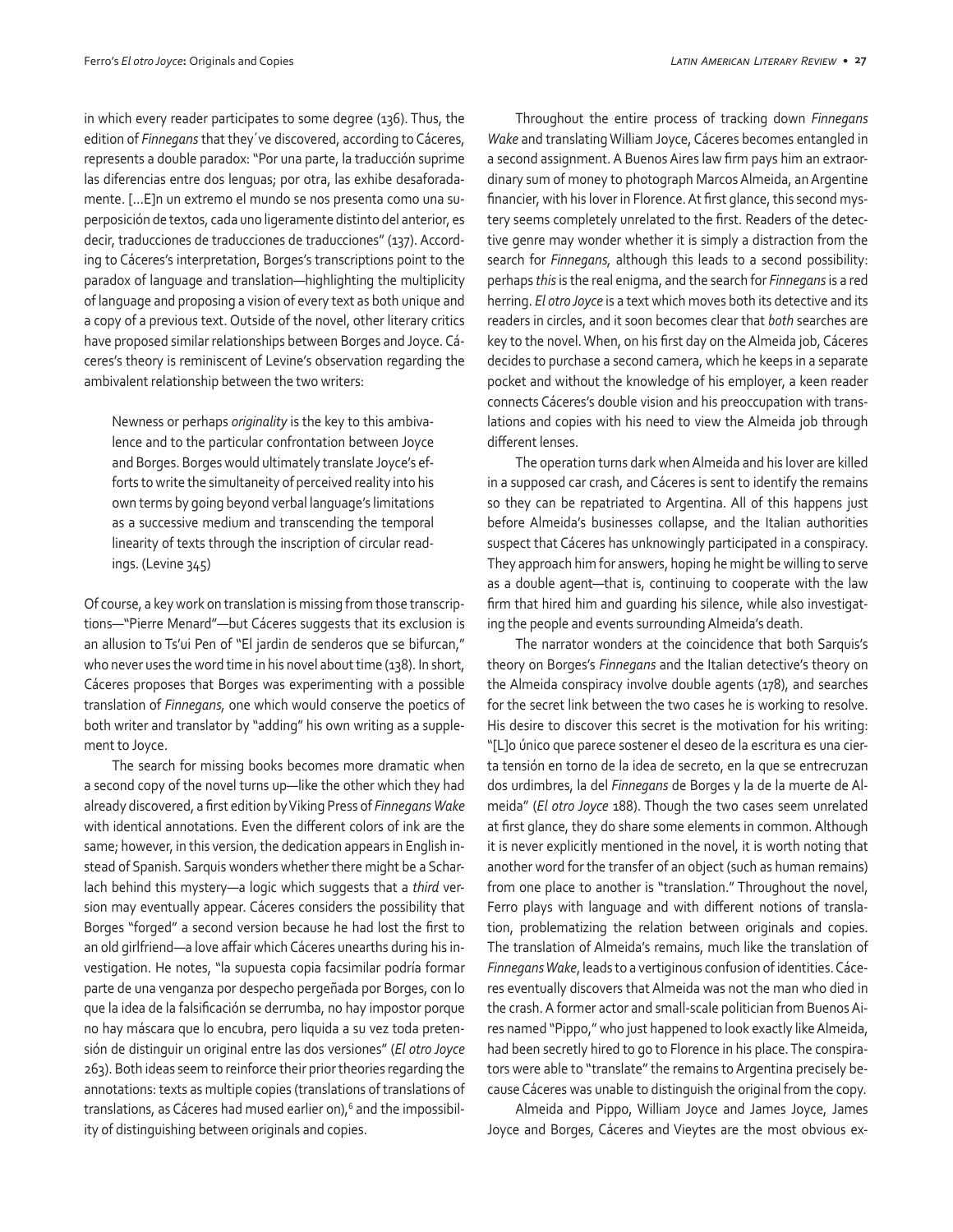in which every reader participates to some degree (136). Thus, the edition of *Finnegans* that they´ve discovered, according to Cáceres, represents a double paradox: "Por una parte, la traducción suprime las diferencias entre dos lenguas; por otra, las exhibe desaforadamente. […E]n un extremo el mundo se nos presenta como una superposición de textos, cada uno ligeramente distinto del anterior, es decir, traducciones de traducciones de traducciones" (137). According to Cáceres's interpretation, Borges's transcriptions point to the paradox of language and translation—highlighting the multiplicity of language and proposing a vision of every text as both unique and a copy of a previous text. Outside of the novel, other literary critics have proposed similar relationships between Borges and Joyce. Cáceres's theory is reminiscent of Levine's observation regarding the ambivalent relationship between the two writers:

Newness or perhaps *originality* is the key to this ambivalence and to the particular confrontation between Joyce and Borges. Borges would ultimately translate Joyce's efforts to write the simultaneity of perceived reality into his own terms by going beyond verbal language's limitations as a successive medium and transcending the temporal linearity of texts through the inscription of circular readings. (Levine 345)

Of course, a key work on translation is missing from those transcriptions—"Pierre Menard"—but Cáceres suggests that its exclusion is an allusion to Ts'ui Pen of "El jardin de senderos que se bifurcan," who never uses the word time in his novel about time (138). In short, Cáceres proposes that Borges was experimenting with a possible translation of *Finnegans,* one which would conserve the poetics of both writer and translator by "adding" his own writing as a supplement to Joyce.

The search for missing books becomes more dramatic when a second copy of the novel turns up—like the other which they had already discovered, a first edition by Viking Press of *Finnegans Wake*  with identical annotations. Even the different colors of ink are the same; however, in this version, the dedication appears in English instead of Spanish. Sarquis wonders whether there might be a Scharlach behind this mystery—a logic which suggests that a *third* version may eventually appear. Cáceres considers the possibility that Borges "forged" a second version because he had lost the first to an old girlfriend—a love affair which Cáceres unearths during his investigation. He notes, "la supuesta copia facsimilar podría formar parte de una venganza por despecho pergeñada por Borges, con lo que la idea de la falsificación se derrumba, no hay impostor porque no hay máscara que lo encubra, pero liquida a su vez toda pretensión de distinguir un original entre las dos versiones" (*El otro Joyce* 263). Both ideas seem to reinforce their prior theories regarding the annotations: texts as multiple copies (translations of translations of translations, as Cáceres had mused earlier on),<sup>6</sup> and the impossibility of distinguishing between originals and copies.

Throughout the entire process of tracking down *Finnegans Wake* and translating William Joyce, Cáceres becomes entangled in a second assignment. A Buenos Aires law firm pays him an extraordinary sum of money to photograph Marcos Almeida, an Argentine financier, with his lover in Florence. At first glance, this second mystery seems completely unrelated to the first. Readers of the detective genre may wonder whether it is simply a distraction from the search for *Finnegans,* although this leads to a second possibility: perhaps *this* is the real enigma, and the search for *Finnegans* is a red herring. *El otro Joyce* is a text which moves both its detective and its readers in circles, and it soon becomes clear that *both* searches are key to the novel. When, on his first day on the Almeida job, Cáceres decides to purchase a second camera, which he keeps in a separate pocket and without the knowledge of his employer, a keen reader connects Cáceres's double vision and his preoccupation with translations and copies with his need to view the Almeida job through different lenses.

The operation turns dark when Almeida and his lover are killed in a supposed car crash, and Cáceres is sent to identify the remains so they can be repatriated to Argentina. All of this happens just before Almeida's businesses collapse, and the Italian authorities suspect that Cáceres has unknowingly participated in a conspiracy. They approach him for answers, hoping he might be willing to serve as a double agent—that is, continuing to cooperate with the law firm that hired him and guarding his silence, while also investigating the people and events surrounding Almeida's death.

The narrator wonders at the coincidence that both Sarquis's theory on Borges's *Finnegans* and the Italian detective's theory on the Almeida conspiracy involve double agents (178), and searches for the secret link between the two cases he is working to resolve. His desire to discover this secret is the motivation for his writing: "[L]o único que parece sostener el deseo de la escritura es una cierta tensión en torno de la idea de secreto, en la que se entrecruzan dos urdimbres, la del *Finnegans* de Borges y la de la muerte de Almeida" (*El otro Joyce* 188). Though the two cases seem unrelated at first glance, they do share some elements in common. Although it is never explicitly mentioned in the novel, it is worth noting that another word for the transfer of an object (such as human remains) from one place to another is "translation." Throughout the novel, Ferro plays with language and with different notions of translation, problematizing the relation between originals and copies. The translation of Almeida's remains, much like the translation of *Finnegans Wake*, leads to a vertiginous confusion of identities. Cáceres eventually discovers that Almeida was not the man who died in the crash. A former actor and small-scale politician from Buenos Aires named "Pippo," who just happened to look exactly like Almeida, had been secretly hired to go to Florence in his place. The conspirators were able to "translate" the remains to Argentina precisely because Cáceres was unable to distinguish the original from the copy.

Almeida and Pippo, William Joyce and James Joyce, James Joyce and Borges, Cáceres and Vieytes are the most obvious ex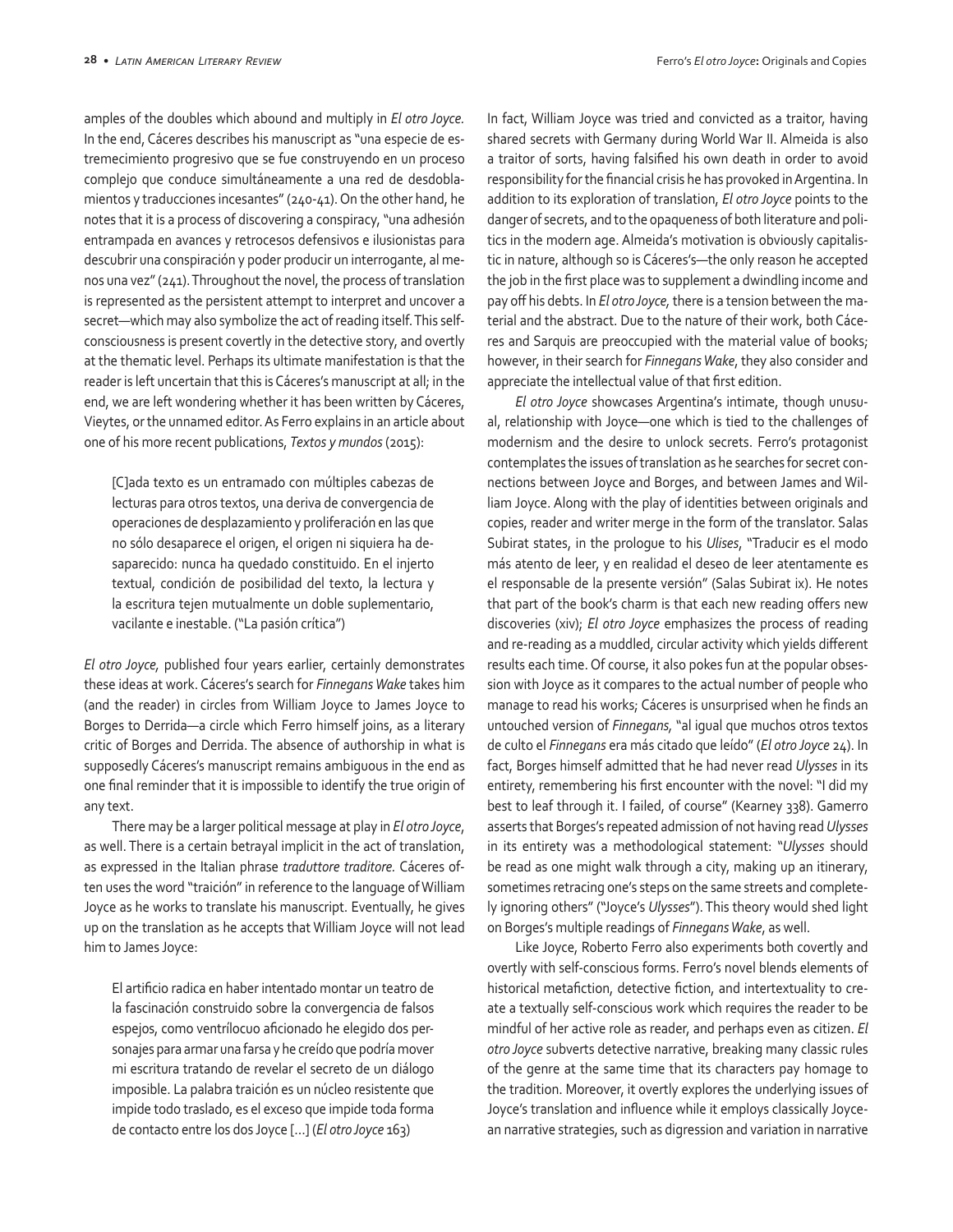amples of the doubles which abound and multiply in *El otro Joyce.*  In the end, Cáceres describes his manuscript as "una especie de estremecimiento progresivo que se fue construyendo en un proceso complejo que conduce simultáneamente a una red de desdoblamientos y traducciones incesantes" (240-41). On the other hand, he notes that it is a process of discovering a conspiracy, "una adhesión entrampada en avances y retrocesos defensivos e ilusionistas para descubrir una conspiración y poder producir un interrogante, al menos una vez" (241). Throughout the novel, the process of translation is represented as the persistent attempt to interpret and uncover a secret—which may also symbolize the act of reading itself. This selfconsciousness is present covertly in the detective story, and overtly at the thematic level. Perhaps its ultimate manifestation is that the reader is left uncertain that this is Cáceres's manuscript at all; in the end, we are left wondering whether it has been written by Cáceres, Vieytes, or the unnamed editor. As Ferro explains in an article about one of his more recent publications, *Textos y mundos* (2015):

[C]ada texto es un entramado con múltiples cabezas de lecturas para otros textos, una deriva de convergencia de operaciones de desplazamiento y proliferación en las que no sólo desaparece el origen, el origen ni siquiera ha desaparecido: nunca ha quedado constituido. En el injerto textual, condición de posibilidad del texto, la lectura y la escritura tejen mutualmente un doble suplementario, vacilante e inestable. ("La pasión crítica")

*El otro Joyce,* published four years earlier, certainly demonstrates these ideas at work. Cáceres's search for *Finnegans Wake* takes him (and the reader) in circles from William Joyce to James Joyce to Borges to Derrida—a circle which Ferro himself joins, as a literary critic of Borges and Derrida. The absence of authorship in what is supposedly Cáceres's manuscript remains ambiguous in the end as one final reminder that it is impossible to identify the true origin of any text.

There may be a larger political message at play in *El otro Joyce*, as well. There is a certain betrayal implicit in the act of translation, as expressed in the Italian phrase *traduttore traditore.* Cáceres often uses the word "traición" in reference to the language of William Joyce as he works to translate his manuscript. Eventually, he gives up on the translation as he accepts that William Joyce will not lead him to James Joyce:

El artificio radica en haber intentado montar un teatro de la fascinación construido sobre la convergencia de falsos espejos, como ventrílocuo aficionado he elegido dos personajes para armar una farsa y he creído que podría mover mi escritura tratando de revelar el secreto de un diálogo imposible. La palabra traición es un núcleo resistente que impide todo traslado, es el exceso que impide toda forma de contacto entre los dos Joyce […] (*El otro Joyce* 163)

In fact, William Joyce was tried and convicted as a traitor, having shared secrets with Germany during World War II. Almeida is also a traitor of sorts, having falsified his own death in order to avoid responsibility for the financial crisis he has provoked in Argentina. In addition to its exploration of translation, *El otro Joyce* points to the danger of secrets, and to the opaqueness of both literature and politics in the modern age. Almeida's motivation is obviously capitalistic in nature, although so is Cáceres's—the only reason he accepted the job in the first place was to supplement a dwindling income and pay off his debts. In *El otro Joyce,* there is a tension between the material and the abstract. Due to the nature of their work, both Cáceres and Sarquis are preoccupied with the material value of books; however, in their search for *Finnegans Wake*, they also consider and appreciate the intellectual value of that first edition.

*El otro Joyce* showcases Argentina's intimate, though unusual, relationship with Joyce—one which is tied to the challenges of modernism and the desire to unlock secrets. Ferro's protagonist contemplates the issues of translation as he searches for secret connections between Joyce and Borges, and between James and William Joyce. Along with the play of identities between originals and copies, reader and writer merge in the form of the translator. Salas Subirat states, in the prologue to his *Ulises*, "Traducir es el modo más atento de leer, y en realidad el deseo de leer atentamente es el responsable de la presente versión" (Salas Subirat ix). He notes that part of the book's charm is that each new reading offers new discoveries (xiv); *El otro Joyce* emphasizes the process of reading and re-reading as a muddled, circular activity which yields different results each time. Of course, it also pokes fun at the popular obsession with Joyce as it compares to the actual number of people who manage to read his works; Cáceres is unsurprised when he finds an untouched version of *Finnegans,* "al igual que muchos otros textos de culto el *Finnegans* era más citado que leído" (*El otro Joyce* 24). In fact, Borges himself admitted that he had never read *Ulysses* in its entirety, remembering his first encounter with the novel: "I did my best to leaf through it. I failed, of course" (Kearney 338). Gamerro asserts that Borges's repeated admission of not having read *Ulysses*  in its entirety was a methodological statement: "*Ulysses* should be read as one might walk through a city, making up an itinerary, sometimes retracing one's steps on the same streets and completely ignoring others" ("Joyce's *Ulysses*"). This theory would shed light on Borges's multiple readings of *Finnegans Wake*, as well.

Like Joyce, Roberto Ferro also experiments both covertly and overtly with self-conscious forms. Ferro's novel blends elements of historical metafiction, detective fiction, and intertextuality to create a textually self-conscious work which requires the reader to be mindful of her active role as reader, and perhaps even as citizen. *El otro Joyce* subverts detective narrative, breaking many classic rules of the genre at the same time that its characters pay homage to the tradition. Moreover, it overtly explores the underlying issues of Joyce's translation and influence while it employs classically Joycean narrative strategies, such as digression and variation in narrative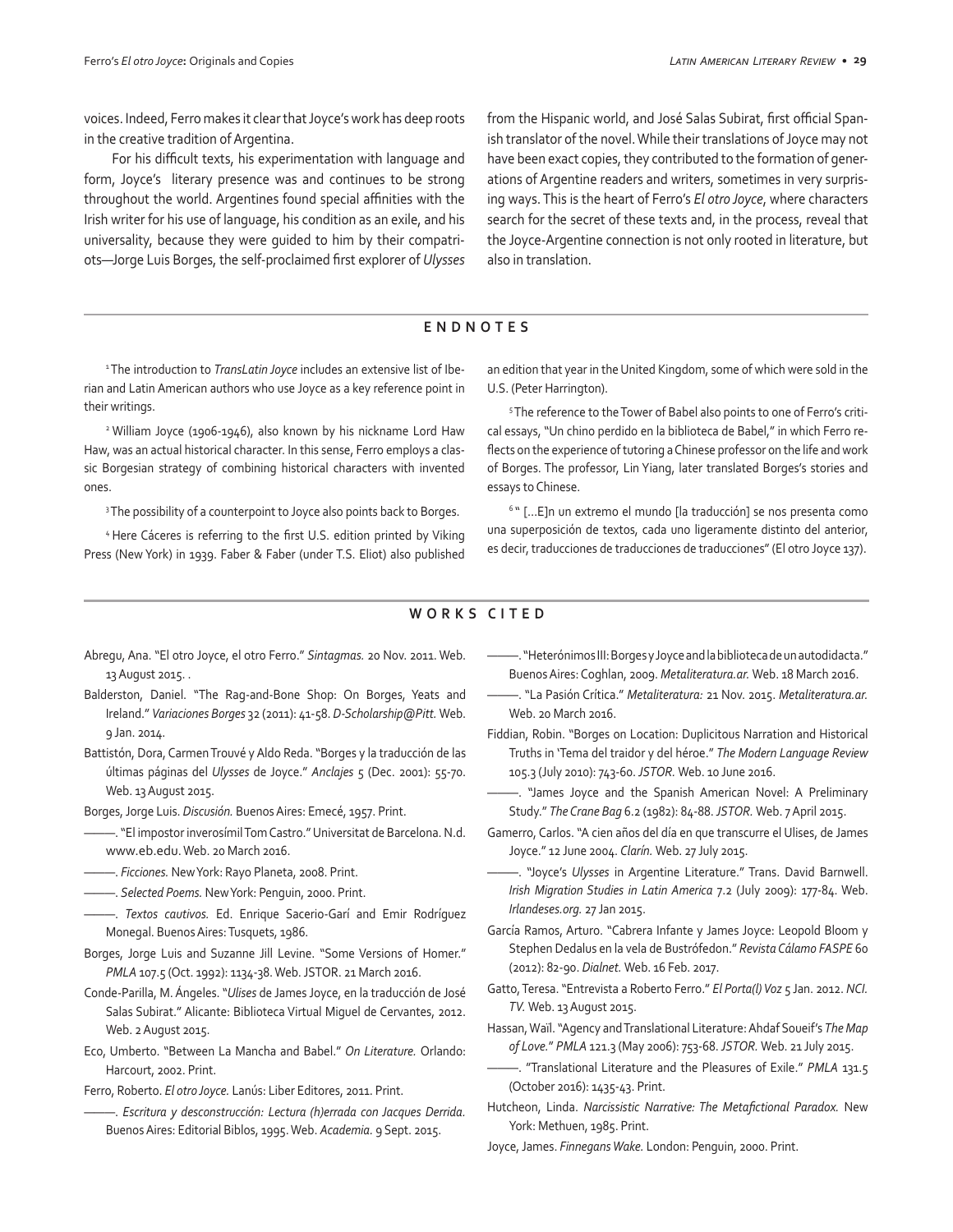voices. Indeed, Ferro makes it clear that Joyce's work has deep roots in the creative tradition of Argentina.

For his difficult texts, his experimentation with language and form, Joyce's literary presence was and continues to be strong throughout the world. Argentines found special affinities with the Irish writer for his use of language, his condition as an exile, and his universality, because they were guided to him by their compatriots—Jorge Luis Borges, the self-proclaimed first explorer of *Ulysses*  from the Hispanic world, and José Salas Subirat, first official Spanish translator of the novel. While their translations of Joyce may not have been exact copies, they contributed to the formation of generations of Argentine readers and writers, sometimes in very surprising ways. This is the heart of Ferro's *El otro Joyce*, where characters search for the secret of these texts and, in the process, reveal that the Joyce-Argentine connection is not only rooted in literature, but also in translation.

## **ENDNOTES**

<sup>1</sup>The introduction to *TransLatin Joyce* includes an extensive list of Iberian and Latin American authors who use Joyce as a key reference point in their writings.

2 William Joyce (1906-1946), also known by his nickname Lord Haw Haw, was an actual historical character. In this sense, Ferro employs a classic Borgesian strategy of combining historical characters with invented ones.

<sup>3</sup> The possibility of a counterpoint to Joyce also points back to Borges.

<sup>4</sup>Here Cáceres is referring to the first U.S. edition printed by Viking Press (New York) in 1939. Faber & Faber (under T.S. Eliot) also published an edition that year in the United Kingdom, some of which were sold in the U.S. (Peter Harrington).

5 The reference to the Tower of Babel also points to one of Ferro's critical essays, "Un chino perdido en la biblioteca de Babel," in which Ferro reflects on the experience of tutoring a Chinese professor on the life and work of Borges. The professor, Lin Yiang, later translated Borges's stories and essays to Chinese.

<sup>6</sup>" […E]n un extremo el mundo [la traducción] se nos presenta como una superposición de textos, cada uno ligeramente distinto del anterior, es decir, traducciones de traducciones de traducciones" (El otro Joyce 137).

## **WORKS CITED**

- Abregu, Ana. "El otro Joyce, el otro Ferro." *Sintagmas.* 20 Nov. 2011. Web. 13 August 2015. .
- Balderston, Daniel. "The Rag-and-Bone Shop: On Borges, Yeats and Ireland." *Variaciones Borges* 32 (2011): 41-58. *D-Scholarship@Pitt.* Web. 9 Jan. 2014.
- Battistón, Dora, Carmen Trouvé y Aldo Reda. "Borges y la traducción de las últimas páginas del *Ulysses* de Joyce." *Anclajes* 5 (Dec. 2001): 55-70. Web. 13 August 2015.
- Borges, Jorge Luis. *Discusión.* Buenos Aires: Emecé, 1957. Print.
- ———. "El impostor inverosímil Tom Castro." Universitat de Barcelona. N.d. www.eb.edu. Web. 20 March 2016.
- ———. *Ficciones.* New York: Rayo Planeta, 2008. Print.
- ———. *Selected Poems.* New York: Penguin, 2000. Print.
- ———. *Textos cautivos.* Ed. Enrique Sacerio-Garí and Emir Rodríguez Monegal. Buenos Aires: Tusquets, 1986.
- Borges, Jorge Luis and Suzanne Jill Levine. "Some Versions of Homer." *PMLA* 107.5 (Oct. 1992): 1134-38. Web. JSTOR. 21 March 2016.
- Conde-Parilla, M. Ángeles. "*Ulises* de James Joyce, en la traducción de José Salas Subirat." Alicante: Biblioteca Virtual Miguel de Cervantes, 2012. Web. 2 August 2015.
- Eco, Umberto. "Between La Mancha and Babel." *On Literature.* Orlando: Harcourt, 2002. Print.
- Ferro, Roberto. *El otro Joyce.* Lanús: Liber Editores, 2011. Print.
- ———. *Escritura y desconstrucción: Lectura (h)errada con Jacques Derrida.*  Buenos Aires: Editorial Biblos, 1995. Web. *Academia.* 9 Sept. 2015.
- ———. "Heterónimos III: Borges y Joyce and la biblioteca de un autodidacta." Buenos Aires: Coghlan, 2009. *Metaliteratura.ar.* Web. 18 March 2016.
- ———. "La Pasión Crítica." *Metaliteratura:* 21 Nov. 2015. *Metaliteratura.ar.*  Web. 20 March 2016.
- Fiddian, Robin. "Borges on Location: Duplicitous Narration and Historical Truths in 'Tema del traidor y del héroe." *The Modern Language Review*  105.3 (July 2010): 743-60. *JSTOR.* Web. 10 June 2016.
- ———. "James Joyce and the Spanish American Novel: A Preliminary Study." *The Crane Bag* 6.2 (1982): 84-88. *JSTOR.* Web. 7 April 2015.
- Gamerro, Carlos. "A cien años del día en que transcurre el Ulises, de James Joyce." 12 June 2004. *Clarín.* Web. 27 July 2015.
- ———. "Joyce's *Ulysses* in Argentine Literature." Trans. David Barnwell. *Irish Migration Studies in Latin America* 7.2 (July 2009): 177-84. Web. *Irlandeses.org.* 27 Jan 2015.
- García Ramos, Arturo. "Cabrera Infante y James Joyce: Leopold Bloom y Stephen Dedalus en la vela de Bustrófedon." *Revista Cálamo FASPE* 60 (2012): 82-90. *Dialnet.* Web. 16 Feb. 2017.
- Gatto, Teresa. "Entrevista a Roberto Ferro." *El Porta(l) Voz* 5 Jan. 2012. *NCI. TV.* Web. 13 August 2015.
- Hassan, Waïl. "Agency and Translational Literature: Ahdaf Soueif's *The Map of Love.*" *PMLA* 121.3 (May 2006): 753-68. *JSTOR.* Web. 21 July 2015.
- ———. "Translational Literature and the Pleasures of Exile." *PMLA* 131.5 (October 2016): 1435-43. Print.
- Hutcheon, Linda. *Narcissistic Narrative: The Metafictional Paradox.* New York: Methuen, 1985. Print.
- Joyce, James. *Finnegans Wake.* London: Penguin, 2000. Print.